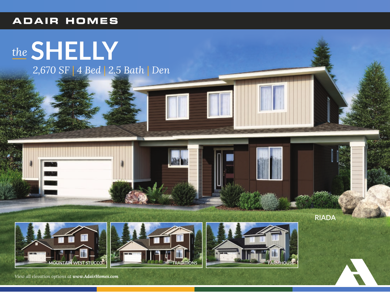## **ADAIR HOMES**

## the SHELLY 2,670 SF | 4 Bed | 2.5 Bath | Den

**RIADA** 

View all elevation options at www.AdairHomes.com

**OUNTAIN WEST STUCCO**